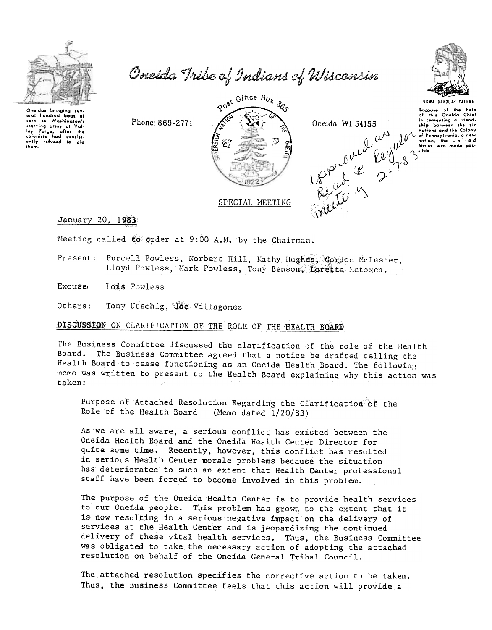

Oneida Tribe of Indians of Wisconsin



Oneidas bringing sev eral hundred bags of corn to washington's<br>lay Forge, after the<br>colonists had consist-<br>ently refused to ald them

Phone: 869-2771

SPECIAL MEETING

Particular and the head of the head of the head of the head of the head of the head of the head of the head of the head of the head of the head of the head of the head of the head of the head of the head of the head of the Post Office Box 360

January 20, 1983

Meeting called to order at 9:00 A.M. by the Chairman.

Present: Purcell Powless, Norbert Hill, Kathy Hughes, Gordon McLester, Lloyd Powless, Mark Powless, Tony Benson, Loretta Metoxen.

Excuse Lois Powless

Others: Tony Utschig, Joe Villagomez

DISCUSSION ON CLARIFICATION OF THE ROLE OF THE HEALTH BOARD

The Business Committee discussed the clarification of the role of the Health Board. The Business Committee agreed that a notice be drafted telling the Health Board to cease functioning as an Oneida Health Board. The following memo was written to present to the Health Board explaining why this action was taken:

Purpose of Attached Resolution Regarding the Clarification of the Role of the Health Board (Memo dated  $1/20/83$ )

As we are all aware, a serious conflict has existed between the Oneida Health Board and the Oneida Health Center Director for quite some time. Recently, however, this conflict has resulted in serious Health Center morale problems because the situation has deteriorated to such an extent that Health Center professional staff have been forced to become involved in this problem.

The purpose of the Oneida Health Center is to provide health services to our Oneida people. This problem has grown to the extent that it is now resulting in a serious negative impact on the delivery of services at the Health Center and is jeopardizing the continued delivery of these vital health services. Thus, the Business Committee was obligated to take the necessary action of adopting the attached resolution on behalf of the Oneida General Tribal Council.

The attached resolution specifies the corrective action to be taken. Thus, the Business Committee feels that this action will provide a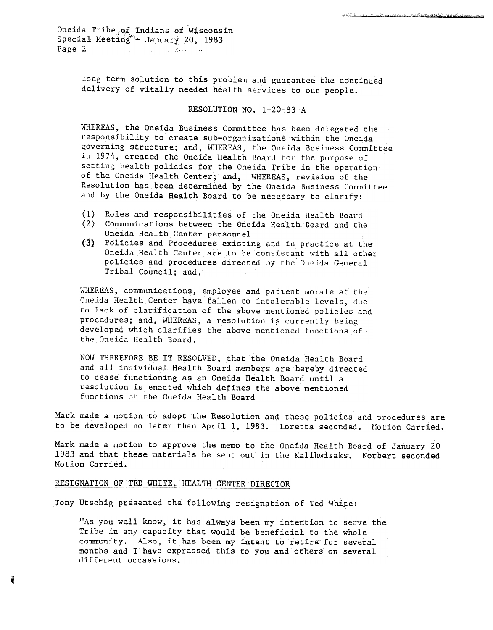Oneida Tribe of Indians of Wisconsin Special Meeting"- January 20, 1983 Page 2 **and 2** *c-2 c-2 c-2 c-2 c-2 c-2 c-2* 

> long term solution to this problem and guarantee the continued delivery of vitally needed health services to our people.

#### RESOLUTION NO. 1-20-83-A

WHEREAS, the Oneida Business Committee has been delegated the responsibility to create sub-organizations within the Oneida governing structure; and, WHEREAS, the Oneida Business Committee in 1974, created the Oneida Health Board for the purpose of setting health policies for the Oneida Tribe in the operation of the Oneida Health Center; and, WHEREAS, revision of the Resolution has been determined by the Oneida Business Committee and by the Oneida Health Board to be necessary to clarify:

- (1) Roles and responsibilities of the Oneida Health Board
- (2) Communications between the Oneida Health Board and th Oneida Health Center personnel
- (3) Policies and Procedures existing and in practice at th Oneida Health Center are to be consistant with all other policies and procedures directed by the Oneida General Tribal Council; and,

WHEREAS, communications, employee and patient morale at the Oneida Health Center have fallen to intolerable levels, due to lack of clarification of the above mentioned policies and procedures; and, WHEREAS, a resolution is currently being developed which clarifies the above mentioned functions of the Oneida Health Board.

NOW THEREFORE BE IT RESOLVED, that the Oneida Health Board and all individual Health Board members are hereby directed to cease functioning as an Oneida Health Board until a resolution is enacted which defines the above mentioned functions of the Oneida Health Board

Mark made a motion to adopt the Resolution and these policies and procedures are to be developed no later than April 1, 1983. Loretta seconded. Motion Carried.

Mark made a motion to approve the memo to the Oneida Health Board of January 20 1983 and that these materials be sent out in the Kalihwisaks. Norbert seconded Motion Carried.

## RESIGNATION OF TED WHITE, HEALTH CENTER DIRECTOR

Tony Utschig presented the following resignation of Ted White:

"As you well know, it has always been my intention to serve the Tribe in any capacity that would be beneficial to the whole community. Also, it has been my intent to retire for several months and I have expressed this to you and others on several different occassions.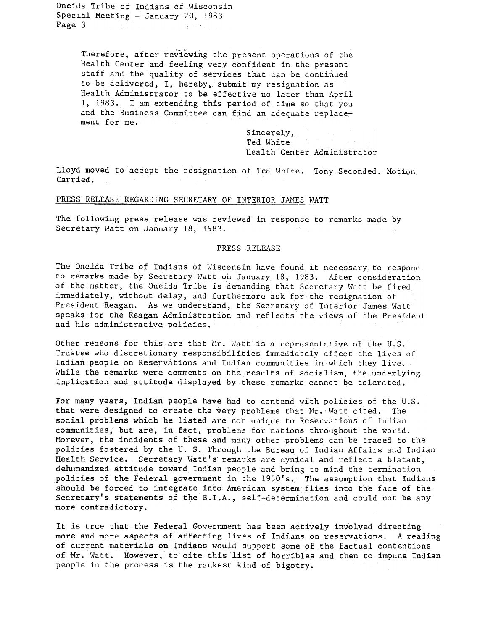Oneida Tribe of Indians of Wisconsin Special Meeting - January 20, 1983 Page 3  $\mathcal{A}$  , the  $\mathcal{A}$  . a Sala

> Therefore, after reviewing the present operations of the Health Center and feeling very confident in the present staff and the quality of services that can be continued to be delivered. I. hereby, submit my resignation as Health Admiristrator to be effective no later than April 1, 1983. I am extending this period of time so that you and the Business Committee can find an adequate replacement for me.

> > Sincerely, Ted White Health Center Administrator

Lloyd moved to accept the resignation of Ted White. Tony Seconded. Motion Carried.

### PRESS RELEASE REGARDING SECRETARY OF INTERIOR JAMES WATT

The following press release was reviewed in response to remarks made by Secretary Watt on January 18, 1983.

#### PRESS RELEASE

The Oneida Tribe of Indians of Wisconsin have found it necessary to respond to remarks made by Secretary Watt on January 18, 1983. After consideration of the matter, the Oneida Tribe is demanding that Secretary Watt be fired immediately, without delay, and furthermore ask for the resignation of President Reagan. As we understand, the Secretary of Interior James Watt speaks for the Reagan Administration and reflects the views of the President and his administrative policies.

Other reasons for this are that Mr. Watt is a representative of the U.S. Trustee who discretionary responsibilities immediately affect the lives of Indian people on Reservations and Indian communities in which they live.. While the remarks were comments on the results of socialism, the underlying implication and attitude displayed by these remarks cannot be tolerated.

For many years, Indian people have had to contend with policies of the U.S. that were designed to create the very problems that Mr. Watt cited. The social problems which he listed are not unique to Reservations of Indian communities, but are, in fact, problems for nations throughout the world. Morever, the incidents of these and many other problems can be traced to the policies fostered by the U. S. Through the Bureau of Indian Affairs and Indian Health Service. Secretary Watt's remarks are cynical and reflect a blatant, dehumanized attitude toward Indian people and bring to mind the termination policies of the Federal government in the 1950's. The assumption that Indians should be forced to integrate into American system flies into the face of the Secretary's statements of the B.I.A., self-determination and could not be any more contradictory.

It is true that the Federal Government has been actively involved directing more and more aspects of affecting lives of Indians on reservations. A reading of current materials on Indians would support some of the factual contentions of Mr. Watt. However, to cite this list of horribles and then to impune Indian people in the process is the rankest kind of bigotry.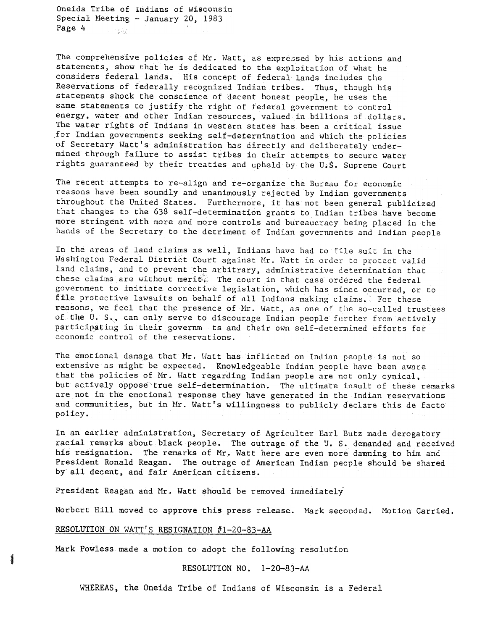Oneida Tribe of Indians of Wisconsin Special Meeting -January 20, 1983 Page 4  $285$ 

The comprehensive policies of Mr. Watt, as expressed by his actions and statements, show that he is dedicated to the exploitation of what he considers federal lands. His concept of federal lands includes the Reservations of federally recognized Indian tribes. Thus, though his statements shock the conscience of decent honest people, he uses the same statements to justify the right of federal government to control energy, water and other Indian resources, valued in billions of dollars. The water rights of Indians in western states has been a critical issue for Indian governments seeking self-determination and which the policies of Secretary Watt's administration has directly and deliberately undermined through failure to assist tribes in their attempts to secure water rights guaranteed by their treaties and upheld by the U~s. Supreme Court

The recent attempts to re-align and re-organize the Bureau for economic reasons have been soundly and unanimously rejected by Indian governments throughout the United States. Furthermore, it has not been general publicized that changes to the 638 self-determination grants to Indian tribes have become more stringent with more and more controls and bureaucracy being placed in the hands of the Secretary to the detriment of Indian governments and Indian people

In the areas of land claims as well, Indians have had to file suit in the Washington Federal District Court against Mr. Watt in order to protect valid land claims, and to prevent the arbitrary, administrative determination that these claims are without merit. The court in that case ordered the federal government to initiate corrective legislation, which has since occurred, or to file protective lawsuits on behalf of all Indians making claims. For these reasons, we feel that the presence of Mr. Watt, as one of the so-called trustees of the U. S., can only serve to discourage Indian people further from actively participating in their governm ts and their own self-determined efforts for economic control of the reservations.

The emotional damage that Mr. Watt has inflicted on Indian people is not so extensive as might be expected. Knowledgeable Indian people have been aware that the policies of Mr. Watt regarding Indian people are not only cynical, but actively oppose true self-determination. The ultimate insult of these remarks are not in the emotional response they have generated in the Indian reservations and communities, but in Mr. Watt's willingness to publicly declare this de facto policy.

In an earlier administration, Secretary of Agriculter Earl Butz made derogatory racial remarks about black people. The outrage of the U. S. demanded and received his resignation. The remarks of Mr. Watt here are even more damning to him and President Ronald Reagan. The outrage of American Indian people should be shared by all decent, and fair American citizens.

President Reagan and Mr. Watt should be removed immediately

Norbert Hill moved to approve this press release. Mark seconded. Motion Carried.

## RESOLUTION ON WATT'S RESIGNATION #1-20-83-AA

1

Mark Powless made a motion to adopt the following resolution

#### RESOLUTION NO. 1-20-83-AA

WHEREAS, the Oneida Tribe of Indians of Wisconsin is a Federal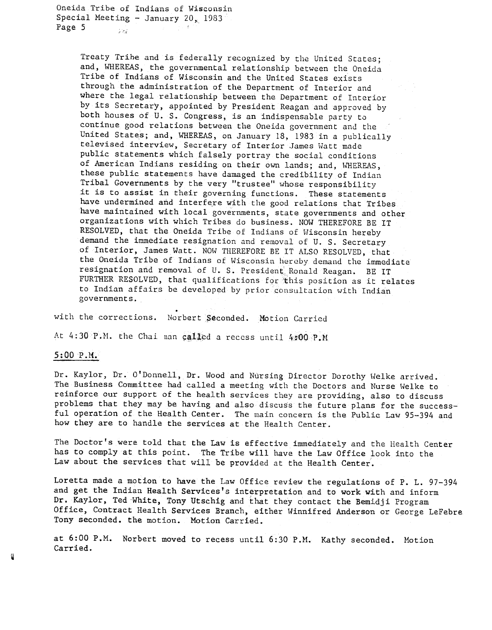Oneida Tribe of Indians of Wisconsin Special Meeting - January 20, 1983 Page 5  $\frac{1}{2}$ 

> Treaty Trihe and is federally recognized by the United States; and, WHEREAS, the governmental relationship between the Oneida Tribe of Indians of Wisconsin and the United States exists through the administration of the Department of Interior and where the legal relationship between the Department of Interior by its Secretary, appointed by President Reagan and approved by both houses of U. S. Congress, is an indispensable party to continue good relations between the Oneida government and the United States; and, WHEREAS, on January 18, 1983 in a publically televised interview, Secretary of Interior James Watt made public statements which falsely portray the social conditions of American Indians residing on their own lands; and, WHEREAS, these public statements have damaged the credibility of Indian Tribal Governments by the very "trustee" whose responsibility it is to assist in their governing functions. These statements have undermined and interfere with the good relations that Tribes have maintained with local governments, state governments and other organizations with which Tribes do business. NOW THEREFORE BE IT RESOLVED, that the Oneida Tribe of Indians of Wisconsin hereby demand the immediate resignation and removal of U. S. Secretary of Interior, James Watt. NOW THEREFORE BE IT ALSO RESOLVED, that the Oneida Tribe of Indians of Wisconsin hereby demand the immediate resignation and removal of U. S. President Ronald Reagan. BE IT FURTHER RESOLVED, that qualifications for this position as it relates to Indian affairs be developed by prior consultation with Indian governments.

with the corrections. Norbert Seconded. Motion Carri

..

At  $4:30$  P.M. the Chai man called a recess until  $4:00$  P.

# $5:00 P.M$

.<br>ئ , Dr. Kaylor, Dr. O'Donnell, Dr. Wood and Nursing Director Dorothy Welke arrived. The Business Committee had called a meeting with the Doctors and Nurse Welke to reinforce our support of the health services they are providing, also to discuss problems that they may be having and also discuss the future plans for the successful operation of the Health Center. The main concern is the Public Law 95-394 and how they are to handle the services at the Health Center.

The Doctor's were told that the Law is effective immediately and the Health Center has to comply at this point. The Tribe will have the Law Office look into the Law about the services that will be provided at the Health Center.

Loretta made a motion to have the Law Office review the regulations of P. L. 97-394 and get the Indian Health Services's interpretation and to work with and inform Dr. Kaylor, Ted White, Tony Utschig and that they contact the Bemidji Program Office, Contract Health Services Branch, either Winnifred Anderson or George LeFebre Tony seconded. the motion. Motion Carried.

at 6:00 P.M. Norbert moved to recess until 6:30 P.M. Kathy seconded. Motion Carried.